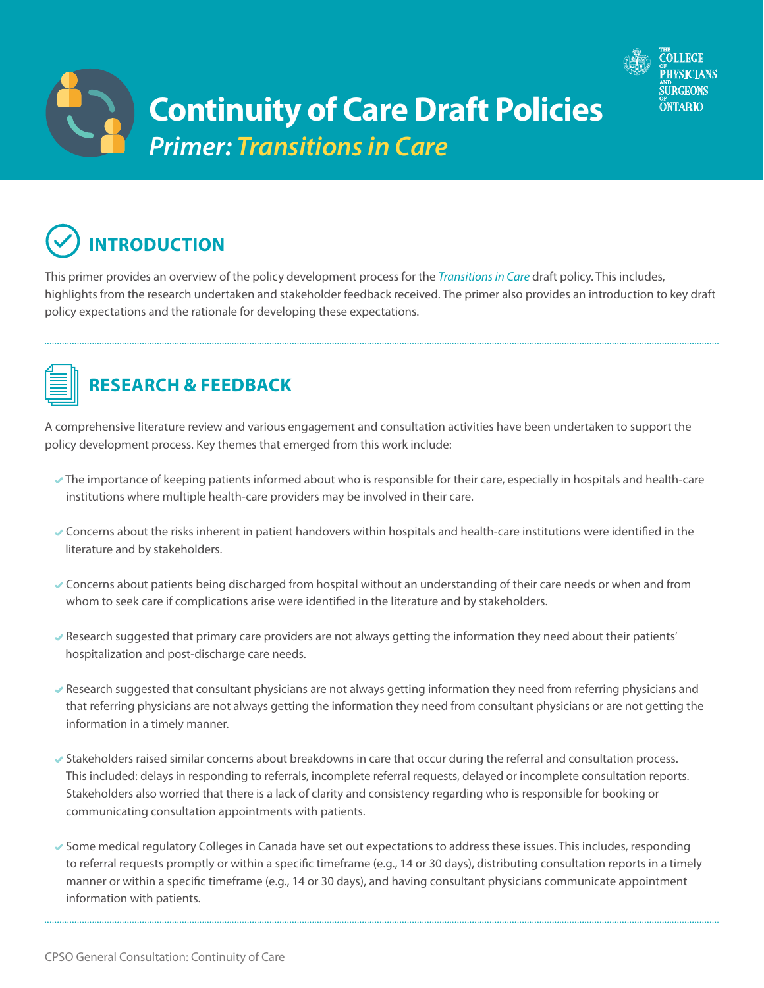



This primer provides an overview of the policy development process for the *[Transitions in Care](http://policyconsult.cpso.on.ca/wp-content/uploads/2018/06/Transitions-in-Care_Draft-for-Consultation.pdf)* draft policy. This includes, highlights from the research undertaken and stakeholder feedback received. The primer also provides an introduction to key draft policy expectations and the rationale for developing these expectations.



## **RESEARCH & FEEDBACK**

A comprehensive literature review and various engagement and consultation activities have been undertaken to support the policy development process. Key themes that emerged from this work include:

- The importance of keeping patients informed about who is responsible for their care, especially in hospitals and health-care institutions where multiple health-care providers may be involved in their care.
- Concerns about the risks inherent in patient handovers within hospitals and health-care institutions were identified in the literature and by stakeholders.
- Concerns about patients being discharged from hospital without an understanding of their care needs or when and from whom to seek care if complications arise were identified in the literature and by stakeholders.
- Research suggested that primary care providers are not always getting the information they need about their patients' hospitalization and post-discharge care needs.
- Research suggested that consultant physicians are not always getting information they need from referring physicians and that referring physicians are not always getting the information they need from consultant physicians or are not getting the information in a timely manner.
- Stakeholders raised similar concerns about breakdowns in care that occur during the referral and consultation process. This included: delays in responding to referrals, incomplete referral requests, delayed or incomplete consultation reports. Stakeholders also worried that there is a lack of clarity and consistency regarding who is responsible for booking or communicating consultation appointments with patients.
- Some medical regulatory Colleges in Canada have set out expectations to address these issues. This includes, responding to referral requests promptly or within a specific timeframe (e.g., 14 or 30 days), distributing consultation reports in a timely manner or within a specific timeframe (e.g., 14 or 30 days), and having consultant physicians communicate appointment information with patients.